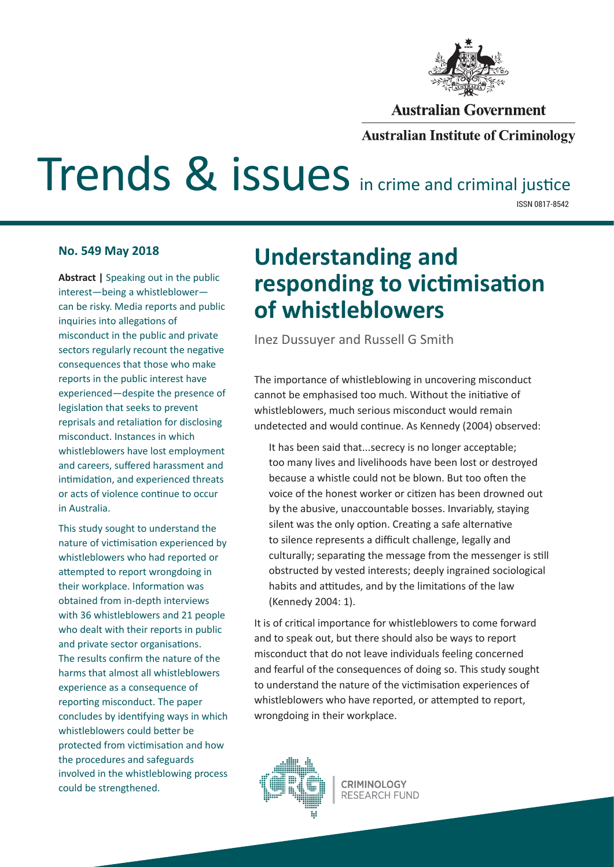

#### **Australian Government**

#### **Australian Institute of Criminology**

# Trends & issues in crime and criminal justice

ISSN 0817-8542

#### **No. 549 May 2018**

**Abstract |** Speaking out in the public interest—being a whistleblower can be risky. Media reports and public inquiries into allegations of misconduct in the public and private sectors regularly recount the negative consequences that those who make reports in the public interest have experienced—despite the presence of legislation that seeks to prevent reprisals and retaliation for disclosing misconduct. Instances in which whistleblowers have lost employment and careers, suffered harassment and intimidation, and experienced threats or acts of violence continue to occur in Australia.

This study sought to understand the nature of victimisation experienced by whistleblowers who had reported or attempted to report wrongdoing in their workplace. Information was obtained from in-depth interviews with 36 whistleblowers and 21 people who dealt with their reports in public and private sector organisations. The results confirm the nature of the harms that almost all whistleblowers experience as a consequence of reporting misconduct. The paper concludes by identifying ways in which whistleblowers could better be protected from victimisation and how the procedures and safeguards involved in the whistleblowing process could be strengthened.

## **Understanding and responding to victimisation of whistleblowers**

Inez Dussuyer and Russell G Smith

The importance of whistleblowing in uncovering misconduct cannot be emphasised too much. Without the initiative of whistleblowers, much serious misconduct would remain undetected and would continue. As Kennedy (2004) observed:

It has been said that...secrecy is no longer acceptable; too many lives and livelihoods have been lost or destroyed because a whistle could not be blown. But too often the voice of the honest worker or citizen has been drowned out by the abusive, unaccountable bosses. Invariably, staying silent was the only option. Creating a safe alternative to silence represents a difficult challenge, legally and culturally; separating the message from the messenger is still obstructed by vested interests; deeply ingrained sociological habits and attitudes, and by the limitations of the law (Kennedy 2004: 1).

It is of critical importance for whistleblowers to come forward and to speak out, but there should also be ways to report misconduct that do not leave individuals feeling concerned and fearful of the consequences of doing so. This study sought to understand the nature of the victimisation experiences of whistleblowers who have reported, or attempted to report, wrongdoing in their workplace.

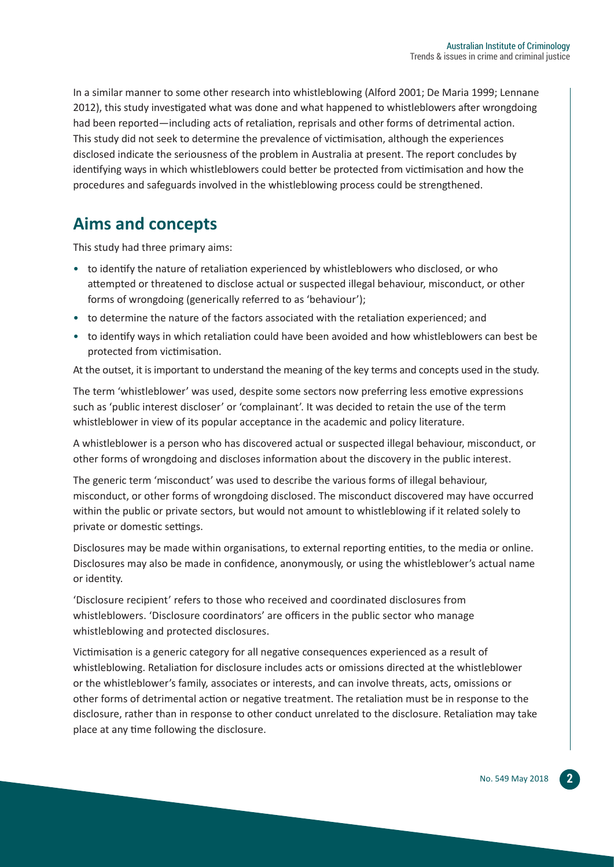In a similar manner to some other research into whistleblowing (Alford 2001; De Maria 1999; Lennane 2012), this study investigated what was done and what happened to whistleblowers after wrongdoing had been reported—including acts of retaliation, reprisals and other forms of detrimental action. This study did not seek to determine the prevalence of victimisation, although the experiences disclosed indicate the seriousness of the problem in Australia at present. The report concludes by identifying ways in which whistleblowers could better be protected from victimisation and how the procedures and safeguards involved in the whistleblowing process could be strengthened.

#### **Aims and concepts**

This study had three primary aims:

- to identify the nature of retaliation experienced by whistleblowers who disclosed, or who attempted or threatened to disclose actual or suspected illegal behaviour, misconduct, or other forms of wrongdoing (generically referred to as 'behaviour');
- to determine the nature of the factors associated with the retaliation experienced; and
- to identify ways in which retaliation could have been avoided and how whistleblowers can best be protected from victimisation.

At the outset, it is important to understand the meaning of the key terms and concepts used in the study.

The term 'whistleblower' was used, despite some sectors now preferring less emotive expressions such as 'public interest discloser' or 'complainant'. It was decided to retain the use of the term whistleblower in view of its popular acceptance in the academic and policy literature.

A whistleblower is a person who has discovered actual or suspected illegal behaviour, misconduct, or other forms of wrongdoing and discloses information about the discovery in the public interest.

The generic term 'misconduct' was used to describe the various forms of illegal behaviour, misconduct, or other forms of wrongdoing disclosed. The misconduct discovered may have occurred within the public or private sectors, but would not amount to whistleblowing if it related solely to private or domestic settings.

Disclosures may be made within organisations, to external reporting entities, to the media or online. Disclosures may also be made in confidence, anonymously, or using the whistleblower's actual name or identity.

'Disclosure recipient' refers to those who received and coordinated disclosures from whistleblowers. 'Disclosure coordinators' are officers in the public sector who manage whistleblowing and protected disclosures.

Victimisation is a generic category for all negative consequences experienced as a result of whistleblowing. Retaliation for disclosure includes acts or omissions directed at the whistleblower or the whistleblower's family, associates or interests, and can involve threats, acts, omissions or other forms of detrimental action or negative treatment. The retaliation must be in response to the disclosure, rather than in response to other conduct unrelated to the disclosure. Retaliation may take place at any time following the disclosure.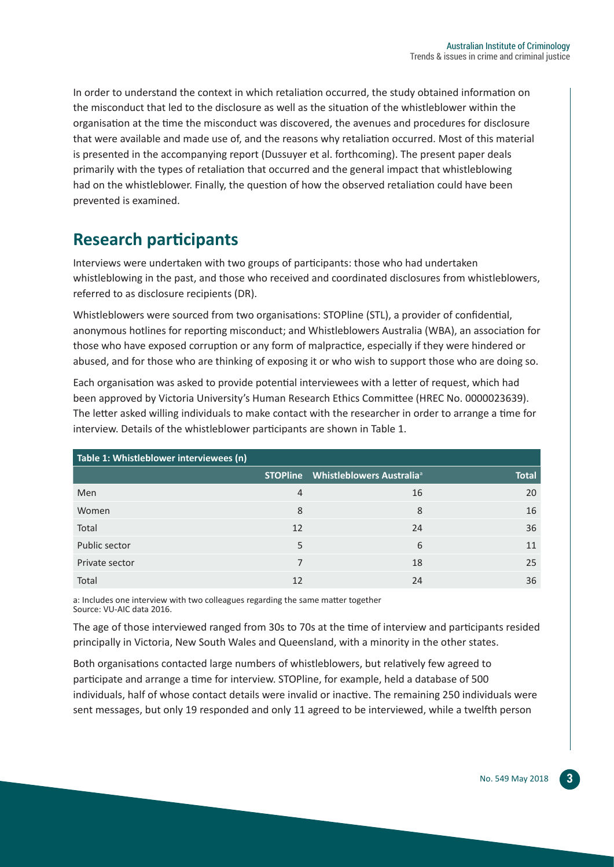In order to understand the context in which retaliation occurred, the study obtained information on the misconduct that led to the disclosure as well as the situation of the whistleblower within the organisation at the time the misconduct was discovered, the avenues and procedures for disclosure that were available and made use of, and the reasons why retaliation occurred. Most of this material is presented in the accompanying report (Dussuyer et al. forthcoming). The present paper deals primarily with the types of retaliation that occurred and the general impact that whistleblowing had on the whistleblower. Finally, the question of how the observed retaliation could have been prevented is examined.

## **Research participants**

Interviews were undertaken with two groups of participants: those who had undertaken whistleblowing in the past, and those who received and coordinated disclosures from whistleblowers, referred to as disclosure recipients (DR).

Whistleblowers were sourced from two organisations: STOPline (STL), a provider of confidential, anonymous hotlines for reporting misconduct; and Whistleblowers Australia (WBA), an association for those who have exposed corruption or any form of malpractice, especially if they were hindered or abused, and for those who are thinking of exposing it or who wish to support those who are doing so.

Each organisation was asked to provide potential interviewees with a letter of request, which had been approved by Victoria University's Human Research Ethics Committee (HREC No. 0000023639). The letter asked willing individuals to make contact with the researcher in order to arrange a time for interview. Details of the whistleblower participants are shown in Table 1.

| Table 1: Whistleblower interviewees (n) |    |                                                |              |  |  |
|-----------------------------------------|----|------------------------------------------------|--------------|--|--|
|                                         |    | STOPline Whistleblowers Australia <sup>a</sup> | <b>Total</b> |  |  |
| Men                                     | 4  | 16                                             | 20           |  |  |
| Women                                   | 8  | 8                                              | 16           |  |  |
| Total                                   | 12 | 24                                             | 36           |  |  |
| Public sector                           | 5  | 6                                              | 11           |  |  |
| Private sector                          |    | 18                                             | 25           |  |  |
| Total                                   | 12 | 24                                             | 36           |  |  |

a: Includes one interview with two colleagues regarding the same matter together Source: VU-AIC data 2016.

The age of those interviewed ranged from 30s to 70s at the time of interview and participants resided principally in Victoria, New South Wales and Queensland, with a minority in the other states.

Both organisations contacted large numbers of whistleblowers, but relatively few agreed to participate and arrange a time for interview. STOPline, for example, held a database of 500 individuals, half of whose contact details were invalid or inactive. The remaining 250 individuals were sent messages, but only 19 responded and only 11 agreed to be interviewed, while a twelfth person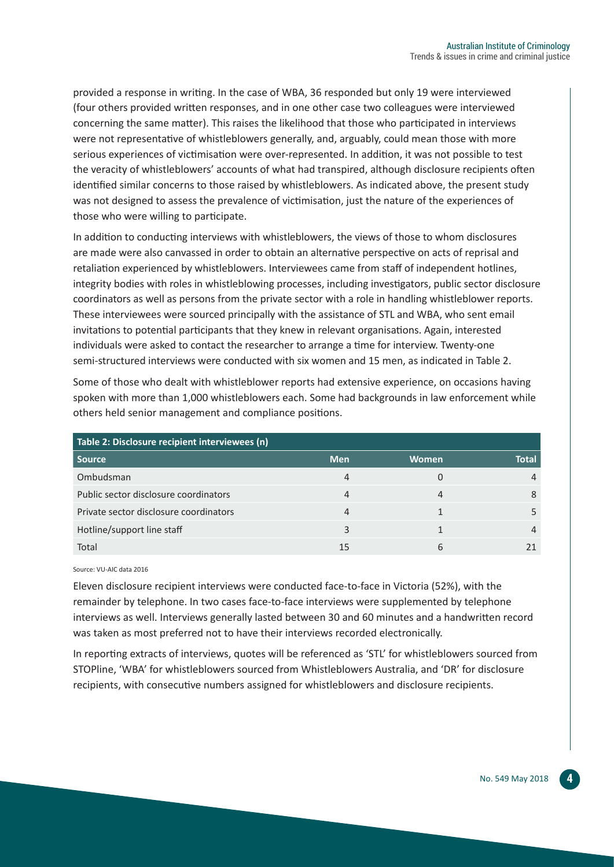provided a response in writing. In the case of WBA, 36 responded but only 19 were interviewed (four others provided written responses, and in one other case two colleagues were interviewed concerning the same matter). This raises the likelihood that those who participated in interviews were not representative of whistleblowers generally, and, arguably, could mean those with more serious experiences of victimisation were over-represented. In addition, it was not possible to test the veracity of whistleblowers' accounts of what had transpired, although disclosure recipients often identified similar concerns to those raised by whistleblowers. As indicated above, the present study was not designed to assess the prevalence of victimisation, just the nature of the experiences of those who were willing to participate.

In addition to conducting interviews with whistleblowers, the views of those to whom disclosures are made were also canvassed in order to obtain an alternative perspective on acts of reprisal and retaliation experienced by whistleblowers. Interviewees came from staff of independent hotlines, integrity bodies with roles in whistleblowing processes, including investigators, public sector disclosure coordinators as well as persons from the private sector with a role in handling whistleblower reports. These interviewees were sourced principally with the assistance of STL and WBA, who sent email invitations to potential participants that they knew in relevant organisations. Again, interested individuals were asked to contact the researcher to arrange a time for interview. Twenty-one semi-structured interviews were conducted with six women and 15 men, as indicated in Table 2.

Some of those who dealt with whistleblower reports had extensive experience, on occasions having spoken with more than 1,000 whistleblowers each. Some had backgrounds in law enforcement while others held senior management and compliance positions.

| Table 2: Disclosure recipient interviewees (n) |            |              |       |  |  |
|------------------------------------------------|------------|--------------|-------|--|--|
| <b>Source</b>                                  | <b>Men</b> | <b>Women</b> | Total |  |  |
| Ombudsman                                      | 4          |              |       |  |  |
| Public sector disclosure coordinators          |            | 4            |       |  |  |
| Private sector disclosure coordinators         | 4          |              |       |  |  |
| Hotline/support line staff                     |            |              |       |  |  |
| Total                                          | 15         | h            |       |  |  |

Source: VU-AIC data 2016

Eleven disclosure recipient interviews were conducted face-to-face in Victoria (52%), with the remainder by telephone. In two cases face-to-face interviews were supplemented by telephone interviews as well. Interviews generally lasted between 30 and 60 minutes and a handwritten record was taken as most preferred not to have their interviews recorded electronically.

In reporting extracts of interviews, quotes will be referenced as 'STL' for whistleblowers sourced from STOPline, 'WBA' for whistleblowers sourced from Whistleblowers Australia, and 'DR' for disclosure recipients, with consecutive numbers assigned for whistleblowers and disclosure recipients.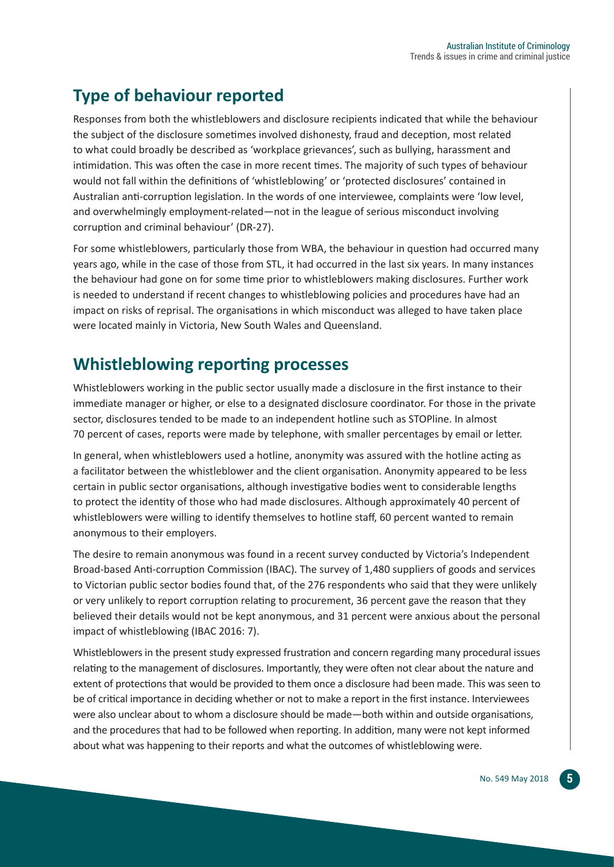## **Type of behaviour reported**

Responses from both the whistleblowers and disclosure recipients indicated that while the behaviour the subject of the disclosure sometimes involved dishonesty, fraud and deception, most related to what could broadly be described as 'workplace grievances', such as bullying, harassment and intimidation. This was often the case in more recent times. The majority of such types of behaviour would not fall within the definitions of 'whistleblowing' or 'protected disclosures' contained in Australian anti-corruption legislation. In the words of one interviewee, complaints were 'low level, and overwhelmingly employment-related—not in the league of serious misconduct involving corruption and criminal behaviour' (DR-27).

For some whistleblowers, particularly those from WBA, the behaviour in question had occurred many years ago, while in the case of those from STL, it had occurred in the last six years. In many instances the behaviour had gone on for some time prior to whistleblowers making disclosures. Further work is needed to understand if recent changes to whistleblowing policies and procedures have had an impact on risks of reprisal. The organisations in which misconduct was alleged to have taken place were located mainly in Victoria, New South Wales and Queensland.

#### **Whistleblowing reporting processes**

Whistleblowers working in the public sector usually made a disclosure in the first instance to their immediate manager or higher, or else to a designated disclosure coordinator. For those in the private sector, disclosures tended to be made to an independent hotline such as STOPline. In almost 70 percent of cases, reports were made by telephone, with smaller percentages by email or letter.

In general, when whistleblowers used a hotline, anonymity was assured with the hotline acting as a facilitator between the whistleblower and the client organisation. Anonymity appeared to be less certain in public sector organisations, although investigative bodies went to considerable lengths to protect the identity of those who had made disclosures. Although approximately 40 percent of whistleblowers were willing to identify themselves to hotline staff, 60 percent wanted to remain anonymous to their employers.

The desire to remain anonymous was found in a recent survey conducted by Victoria's Independent Broad-based Anti-corruption Commission (IBAC). The survey of 1,480 suppliers of goods and services to Victorian public sector bodies found that, of the 276 respondents who said that they were unlikely or very unlikely to report corruption relating to procurement, 36 percent gave the reason that they believed their details would not be kept anonymous, and 31 percent were anxious about the personal impact of whistleblowing (IBAC 2016: 7).

Whistleblowers in the present study expressed frustration and concern regarding many procedural issues relating to the management of disclosures. Importantly, they were often not clear about the nature and extent of protections that would be provided to them once a disclosure had been made. This was seen to be of critical importance in deciding whether or not to make a report in the first instance. Interviewees were also unclear about to whom a disclosure should be made—both within and outside organisations, and the procedures that had to be followed when reporting. In addition, many were not kept informed about what was happening to their reports and what the outcomes of whistleblowing were.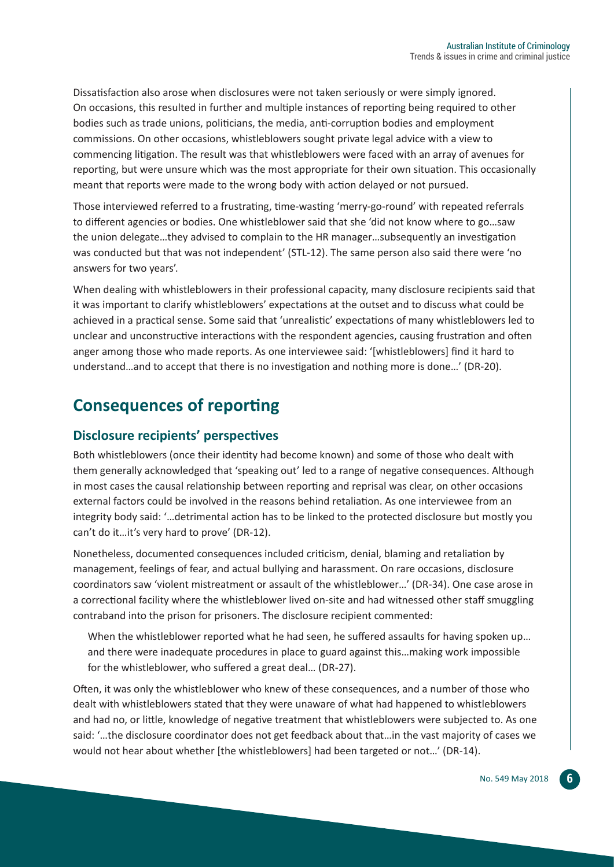Dissatisfaction also arose when disclosures were not taken seriously or were simply ignored. On occasions, this resulted in further and multiple instances of reporting being required to other bodies such as trade unions, politicians, the media, anti-corruption bodies and employment commissions. On other occasions, whistleblowers sought private legal advice with a view to commencing litigation. The result was that whistleblowers were faced with an array of avenues for reporting, but were unsure which was the most appropriate for their own situation. This occasionally meant that reports were made to the wrong body with action delayed or not pursued.

Those interviewed referred to a frustrating, time-wasting 'merry-go-round' with repeated referrals to different agencies or bodies. One whistleblower said that she 'did not know where to go…saw the union delegate…they advised to complain to the HR manager…subsequently an investigation was conducted but that was not independent' (STL-12). The same person also said there were 'no answers for two years'.

When dealing with whistleblowers in their professional capacity, many disclosure recipients said that it was important to clarify whistleblowers' expectations at the outset and to discuss what could be achieved in a practical sense. Some said that 'unrealistic' expectations of many whistleblowers led to unclear and unconstructive interactions with the respondent agencies, causing frustration and often anger among those who made reports. As one interviewee said: '[whistleblowers] find it hard to understand…and to accept that there is no investigation and nothing more is done…' (DR-20).

## **Consequences of reporting**

#### **Disclosure recipients' perspectives**

Both whistleblowers (once their identity had become known) and some of those who dealt with them generally acknowledged that 'speaking out' led to a range of negative consequences. Although in most cases the causal relationship between reporting and reprisal was clear, on other occasions external factors could be involved in the reasons behind retaliation. As one interviewee from an integrity body said: '…detrimental action has to be linked to the protected disclosure but mostly you can't do it…it's very hard to prove' (DR-12).

Nonetheless, documented consequences included criticism, denial, blaming and retaliation by management, feelings of fear, and actual bullying and harassment. On rare occasions, disclosure coordinators saw 'violent mistreatment or assault of the whistleblower…' (DR-34). One case arose in a correctional facility where the whistleblower lived on-site and had witnessed other staff smuggling contraband into the prison for prisoners. The disclosure recipient commented:

When the whistleblower reported what he had seen, he suffered assaults for having spoken up... and there were inadequate procedures in place to guard against this…making work impossible for the whistleblower, who suffered a great deal… (DR-27).

Often, it was only the whistleblower who knew of these consequences, and a number of those who dealt with whistleblowers stated that they were unaware of what had happened to whistleblowers and had no, or little, knowledge of negative treatment that whistleblowers were subjected to. As one said: '…the disclosure coordinator does not get feedback about that…in the vast majority of cases we would not hear about whether [the whistleblowers] had been targeted or not…' (DR-14).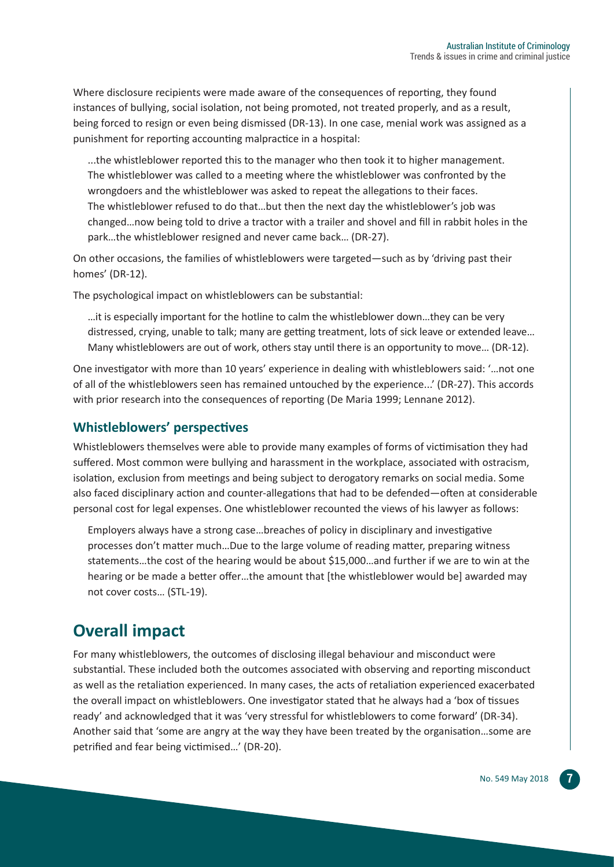Where disclosure recipients were made aware of the consequences of reporting, they found instances of bullying, social isolation, not being promoted, not treated properly, and as a result, being forced to resign or even being dismissed (DR-13). In one case, menial work was assigned as a punishment for reporting accounting malpractice in a hospital:

...the whistleblower reported this to the manager who then took it to higher management. The whistleblower was called to a meeting where the whistleblower was confronted by the wrongdoers and the whistleblower was asked to repeat the allegations to their faces. The whistleblower refused to do that…but then the next day the whistleblower's job was changed…now being told to drive a tractor with a trailer and shovel and fill in rabbit holes in the park…the whistleblower resigned and never came back… (DR-27).

On other occasions, the families of whistleblowers were targeted—such as by 'driving past their homes' (DR-12).

The psychological impact on whistleblowers can be substantial:

…it is especially important for the hotline to calm the whistleblower down…they can be very distressed, crying, unable to talk; many are getting treatment, lots of sick leave or extended leave… Many whistleblowers are out of work, others stay until there is an opportunity to move… (DR-12).

One investigator with more than 10 years' experience in dealing with whistleblowers said: '…not one of all of the whistleblowers seen has remained untouched by the experience...' (DR-27). This accords with prior research into the consequences of reporting (De Maria 1999; Lennane 2012).

#### **Whistleblowers' perspectives**

Whistleblowers themselves were able to provide many examples of forms of victimisation they had suffered. Most common were bullying and harassment in the workplace, associated with ostracism, isolation, exclusion from meetings and being subject to derogatory remarks on social media. Some also faced disciplinary action and counter-allegations that had to be defended—often at considerable personal cost for legal expenses. One whistleblower recounted the views of his lawyer as follows:

Employers always have a strong case…breaches of policy in disciplinary and investigative processes don't matter much…Due to the large volume of reading matter, preparing witness statements…the cost of the hearing would be about \$15,000…and further if we are to win at the hearing or be made a better offer...the amount that [the whistleblower would be] awarded may not cover costs… (STL-19).

#### **Overall impact**

For many whistleblowers, the outcomes of disclosing illegal behaviour and misconduct were substantial. These included both the outcomes associated with observing and reporting misconduct as well as the retaliation experienced. In many cases, the acts of retaliation experienced exacerbated the overall impact on whistleblowers. One investigator stated that he always had a 'box of tissues ready' and acknowledged that it was 'very stressful for whistleblowers to come forward' (DR-34). Another said that 'some are angry at the way they have been treated by the organisation…some are petrified and fear being victimised…' (DR-20).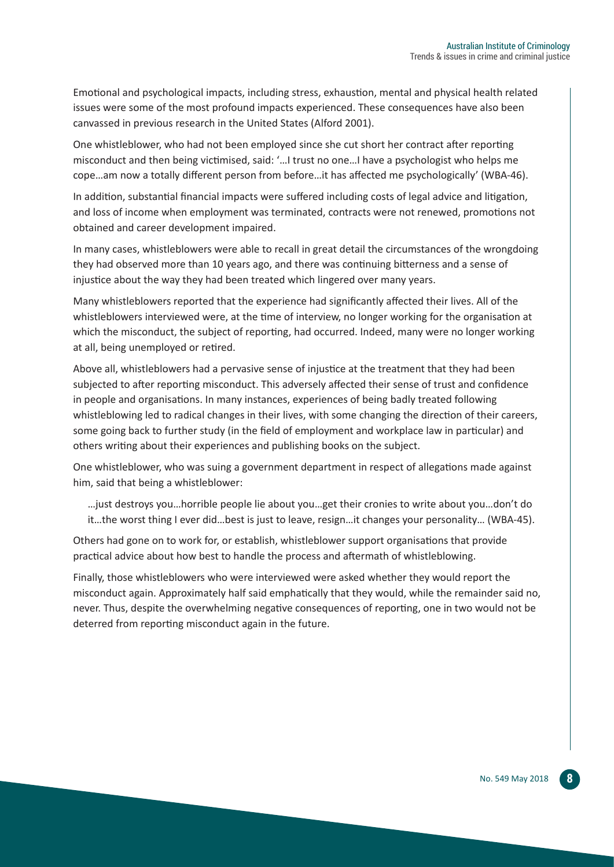Emotional and psychological impacts, including stress, exhaustion, mental and physical health related issues were some of the most profound impacts experienced. These consequences have also been canvassed in previous research in the United States (Alford 2001).

One whistleblower, who had not been employed since she cut short her contract after reporting misconduct and then being victimised, said: '…I trust no one…I have a psychologist who helps me cope…am now a totally different person from before…it has affected me psychologically' (WBA-46).

In addition, substantial financial impacts were suffered including costs of legal advice and litigation, and loss of income when employment was terminated, contracts were not renewed, promotions not obtained and career development impaired.

In many cases, whistleblowers were able to recall in great detail the circumstances of the wrongdoing they had observed more than 10 years ago, and there was continuing bitterness and a sense of injustice about the way they had been treated which lingered over many years.

Many whistleblowers reported that the experience had significantly affected their lives. All of the whistleblowers interviewed were, at the time of interview, no longer working for the organisation at which the misconduct, the subject of reporting, had occurred. Indeed, many were no longer working at all, being unemployed or retired.

Above all, whistleblowers had a pervasive sense of injustice at the treatment that they had been subjected to after reporting misconduct. This adversely affected their sense of trust and confidence in people and organisations. In many instances, experiences of being badly treated following whistleblowing led to radical changes in their lives, with some changing the direction of their careers, some going back to further study (in the field of employment and workplace law in particular) and others writing about their experiences and publishing books on the subject.

One whistleblower, who was suing a government department in respect of allegations made against him, said that being a whistleblower:

…just destroys you…horrible people lie about you…get their cronies to write about you…don't do it…the worst thing I ever did…best is just to leave, resign…it changes your personality… (WBA-45).

Others had gone on to work for, or establish, whistleblower support organisations that provide practical advice about how best to handle the process and aftermath of whistleblowing.

Finally, those whistleblowers who were interviewed were asked whether they would report the misconduct again. Approximately half said emphatically that they would, while the remainder said no, never. Thus, despite the overwhelming negative consequences of reporting, one in two would not be deterred from reporting misconduct again in the future.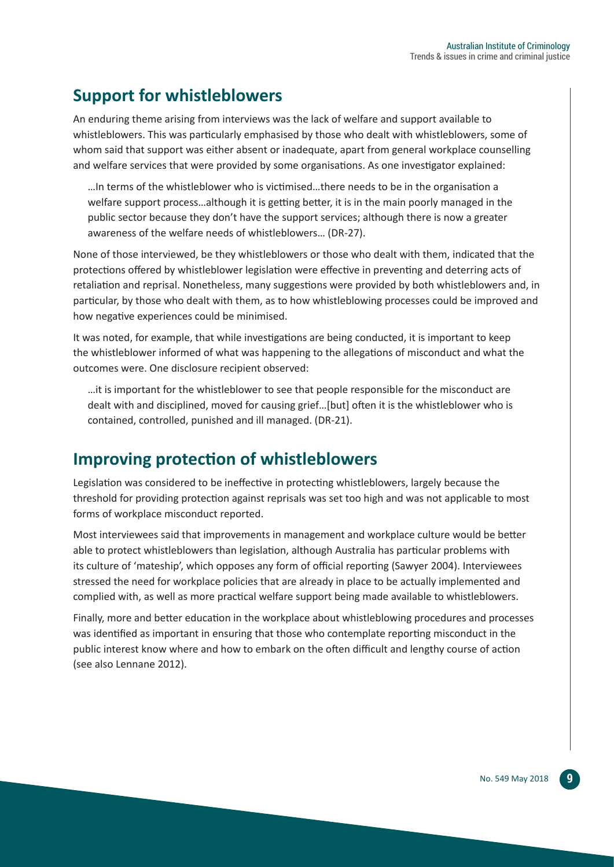## **Support for whistleblowers**

An enduring theme arising from interviews was the lack of welfare and support available to whistleblowers. This was particularly emphasised by those who dealt with whistleblowers, some of whom said that support was either absent or inadequate, apart from general workplace counselling and welfare services that were provided by some organisations. As one investigator explained:

…In terms of the whistleblower who is victimised…there needs to be in the organisation a welfare support process…although it is getting better, it is in the main poorly managed in the public sector because they don't have the support services; although there is now a greater awareness of the welfare needs of whistleblowers… (DR-27).

None of those interviewed, be they whistleblowers or those who dealt with them, indicated that the protections offered by whistleblower legislation were effective in preventing and deterring acts of retaliation and reprisal. Nonetheless, many suggestions were provided by both whistleblowers and, in particular, by those who dealt with them, as to how whistleblowing processes could be improved and how negative experiences could be minimised.

It was noted, for example, that while investigations are being conducted, it is important to keep the whistleblower informed of what was happening to the allegations of misconduct and what the outcomes were. One disclosure recipient observed:

…it is important for the whistleblower to see that people responsible for the misconduct are dealt with and disciplined, moved for causing grief…[but] often it is the whistleblower who is contained, controlled, punished and ill managed. (DR-21).

#### **Improving protection of whistleblowers**

Legislation was considered to be ineffective in protecting whistleblowers, largely because the threshold for providing protection against reprisals was set too high and was not applicable to most forms of workplace misconduct reported.

Most interviewees said that improvements in management and workplace culture would be better able to protect whistleblowers than legislation, although Australia has particular problems with its culture of 'mateship', which opposes any form of official reporting (Sawyer 2004). Interviewees stressed the need for workplace policies that are already in place to be actually implemented and complied with, as well as more practical welfare support being made available to whistleblowers.

Finally, more and better education in the workplace about whistleblowing procedures and processes was identified as important in ensuring that those who contemplate reporting misconduct in the public interest know where and how to embark on the often difficult and lengthy course of action (see also Lennane 2012).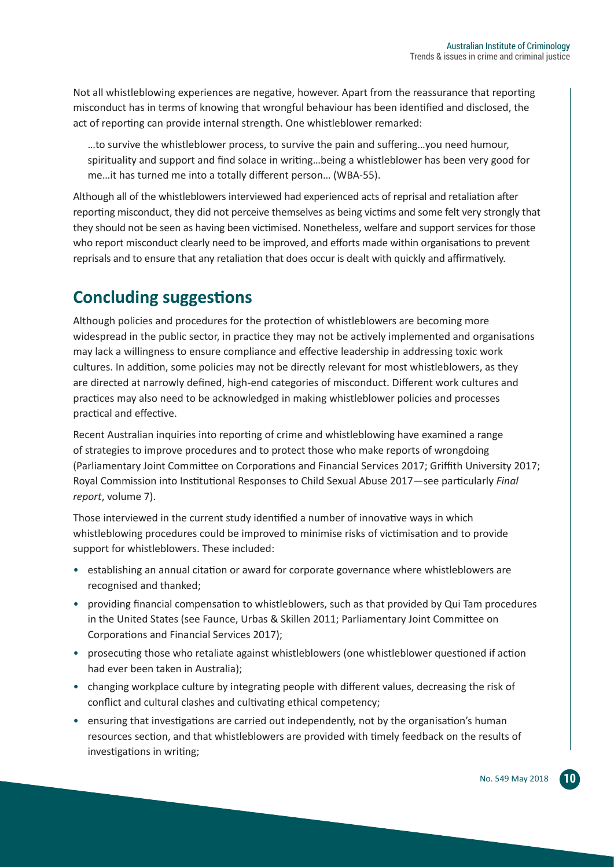Not all whistleblowing experiences are negative, however. Apart from the reassurance that reporting misconduct has in terms of knowing that wrongful behaviour has been identified and disclosed, the act of reporting can provide internal strength. One whistleblower remarked:

…to survive the whistleblower process, to survive the pain and suffering…you need humour, spirituality and support and find solace in writing…being a whistleblower has been very good for me…it has turned me into a totally different person… (WBA-55).

Although all of the whistleblowers interviewed had experienced acts of reprisal and retaliation after reporting misconduct, they did not perceive themselves as being victims and some felt very strongly that they should not be seen as having been victimised. Nonetheless, welfare and support services for those who report misconduct clearly need to be improved, and efforts made within organisations to prevent reprisals and to ensure that any retaliation that does occur is dealt with quickly and affirmatively.

## **Concluding suggestions**

Although policies and procedures for the protection of whistleblowers are becoming more widespread in the public sector, in practice they may not be actively implemented and organisations may lack a willingness to ensure compliance and effective leadership in addressing toxic work cultures. In addition, some policies may not be directly relevant for most whistleblowers, as they are directed at narrowly defined, high-end categories of misconduct. Different work cultures and practices may also need to be acknowledged in making whistleblower policies and processes practical and effective.

Recent Australian inquiries into reporting of crime and whistleblowing have examined a range of strategies to improve procedures and to protect those who make reports of wrongdoing (Parliamentary Joint Committee on Corporations and Financial Services 2017; Griffith University 2017; Royal Commission into Institutional Responses to Child Sexual Abuse 2017—see particularly *Final report*, volume 7).

Those interviewed in the current study identified a number of innovative ways in which whistleblowing procedures could be improved to minimise risks of victimisation and to provide support for whistleblowers. These included:

- establishing an annual citation or award for corporate governance where whistleblowers are recognised and thanked;
- providing financial compensation to whistleblowers, such as that provided by Qui Tam procedures in the United States (see Faunce, Urbas & Skillen 2011; Parliamentary Joint Committee on Corporations and Financial Services 2017);
- prosecuting those who retaliate against whistleblowers (one whistleblower questioned if action had ever been taken in Australia);
- changing workplace culture by integrating people with different values, decreasing the risk of conflict and cultural clashes and cultivating ethical competency;
- ensuring that investigations are carried out independently, not by the organisation's human resources section, and that whistleblowers are provided with timely feedback on the results of investigations in writing;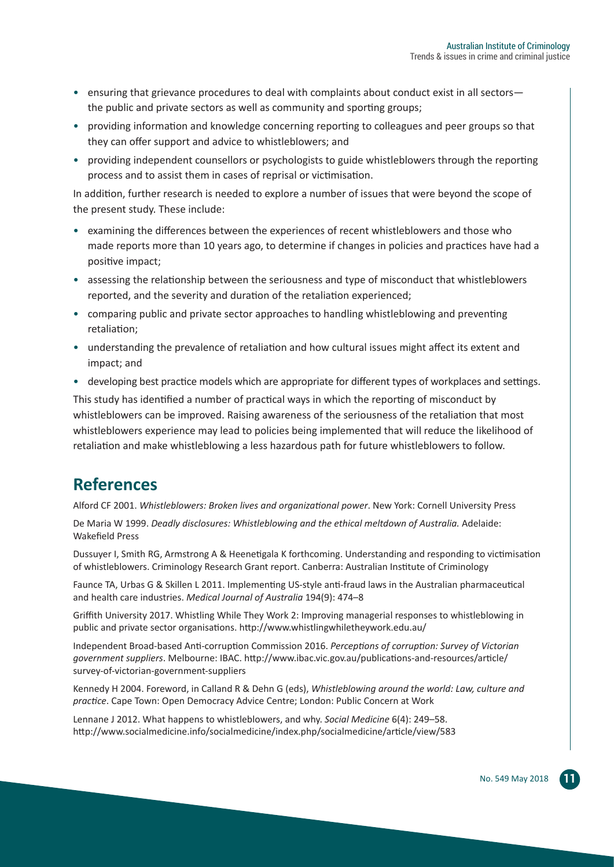- ensuring that grievance procedures to deal with complaints about conduct exist in all sectors the public and private sectors as well as community and sporting groups;
- providing information and knowledge concerning reporting to colleagues and peer groups so that they can offer support and advice to whistleblowers; and
- providing independent counsellors or psychologists to guide whistleblowers through the reporting process and to assist them in cases of reprisal or victimisation.

In addition, further research is needed to explore a number of issues that were beyond the scope of the present study. These include:

- examining the differences between the experiences of recent whistleblowers and those who made reports more than 10 years ago, to determine if changes in policies and practices have had a positive impact;
- assessing the relationship between the seriousness and type of misconduct that whistleblowers reported, and the severity and duration of the retaliation experienced;
- comparing public and private sector approaches to handling whistleblowing and preventing retaliation;
- understanding the prevalence of retaliation and how cultural issues might affect its extent and impact; and
- developing best practice models which are appropriate for different types of workplaces and settings.

This study has identified a number of practical ways in which the reporting of misconduct by whistleblowers can be improved. Raising awareness of the seriousness of the retaliation that most whistleblowers experience may lead to policies being implemented that will reduce the likelihood of retaliation and make whistleblowing a less hazardous path for future whistleblowers to follow.

#### **References**

Alford CF 2001. *Whistleblowers: Broken lives and organizational power*. New York: Cornell University Press

De Maria W 1999. *Deadly disclosures: Whistleblowing and the ethical meltdown of Australia.* Adelaide: Wakefield Press

Dussuyer I, Smith RG, Armstrong A & Heenetigala K forthcoming. Understanding and responding to victimisation of whistleblowers. Criminology Research Grant report. Canberra: Australian Institute of Criminology

Faunce TA, Urbas G & Skillen L 2011. Implementing US-style anti-fraud laws in the Australian pharmaceutical and health care industries. *Medical Journal of Australia* 194(9): 474–8

Griffith University 2017. Whistling While They Work 2: Improving managerial responses to whistleblowing in public and private sector organisations. http://www.whistlingwhiletheywork.edu.au/

Independent Broad-based Anti-corruption Commission 2016. *Perceptions of corruption: Survey of Victorian government suppliers*. Melbourne: IBAC. http://www.ibac.vic.gov.au/publications-and-resources/article/ survey-of-victorian-government-suppliers

Kennedy H 2004. Foreword, in Calland R & Dehn G (eds), *Whistleblowing around the world: Law, culture and practice*. Cape Town: Open Democracy Advice Centre; London: Public Concern at Work

Lennane J 2012. What happens to whistleblowers, and why. *Social Medicine* 6(4): 249–58. http://www.socialmedicine.info/socialmedicine/index.php/socialmedicine/article/view/583